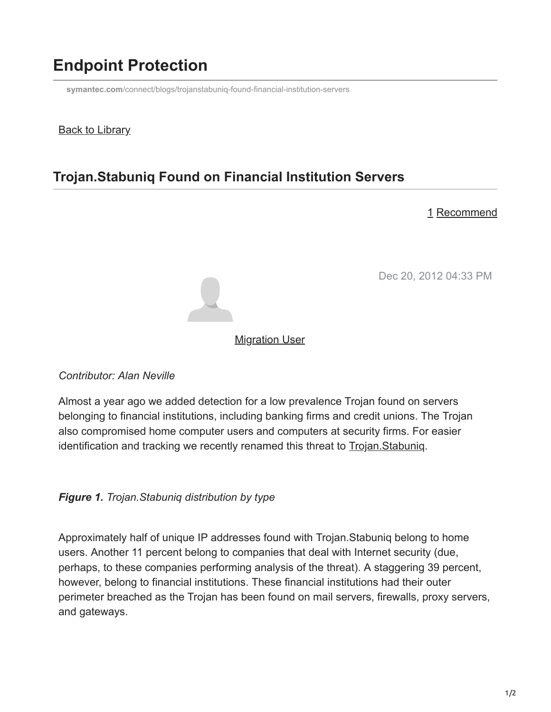# **Endpoint Protection**

**symantec.com**[/connect/blogs/trojanstabuniq-found-financial-institution-servers](https://www.symantec.com/connect/blogs/trojanstabuniq-found-financial-institution-servers)

#### **Back to Library**

## **Trojan.Stabuniq Found on Financial Institution Servers**

#### 1 Recommend

Dec 20, 2012 04:33 PM



#### **[Migration User](https://community.broadcom.com/symantecenterprise/network/members/profile?UserKey=909a8e41-f1e7-45af-914a-628128e3819f)**

*Contributor: Alan Neville*

Almost a year ago we added detection for a low prevalence Trojan found on servers belonging to financial institutions, including banking firms and credit unions. The Trojan also compromised home computer users and computers at security firms. For easier identification and tracking we recently renamed this threat to [Trojan.Stabuniq](http://www.symantec.com/security_response/writeup.jsp?docid=2012-121809-2437-99).

*Figure 1. Trojan.Stabuniq distribution by type*

Approximately half of unique IP addresses found with Trojan.Stabuniq belong to home users. Another 11 percent belong to companies that deal with Internet security (due, perhaps, to these companies performing analysis of the threat). A staggering 39 percent, however, belong to financial institutions. These financial institutions had their outer perimeter breached as the Trojan has been found on mail servers, firewalls, proxy servers, and gateways.